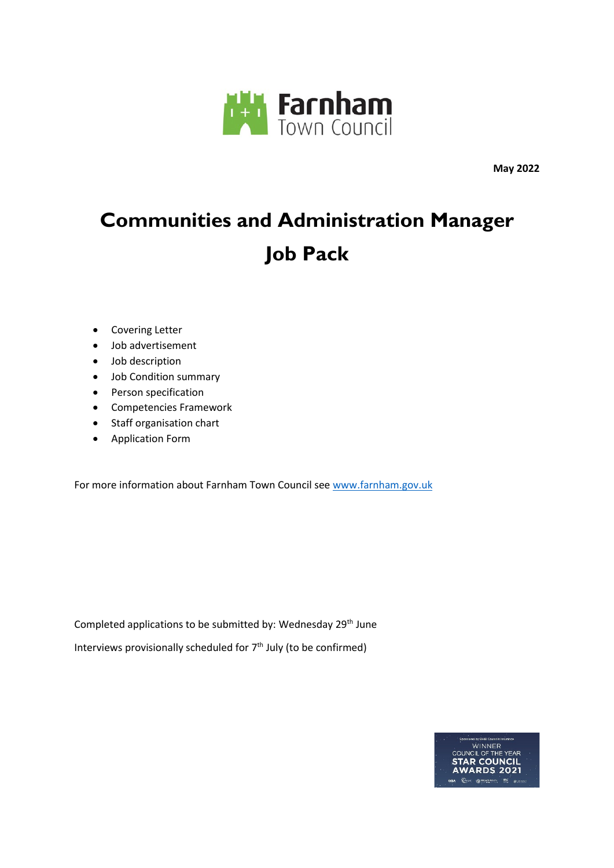

**May 2022**

# **Communities and Administration Manager Job Pack**

- Covering Letter
- Job advertisement
- Job description
- Job Condition summary
- Person specification
- Competencies Framework
- Staff organisation chart
- Application Form

For more information about Farnham Town Council se[e www.farnham.gov.uk](http://www.farnham.gov.uk/)

Completed applications to be submitted by: Wednesday 29<sup>th</sup> June Interviews provisionally scheduled for  $7<sup>th</sup>$  July (to be confirmed)

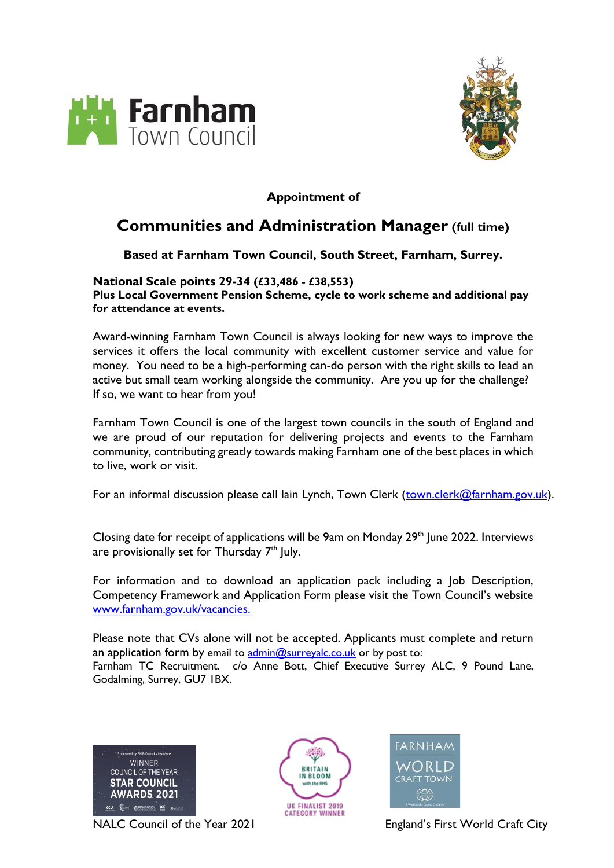



### **Appointment of**

### **Communities and Administration Manager (full time)**

### **Based at Farnham Town Council, South Street, Farnham, Surrey.**

### **National Scale points 29-34 (£33,486 - £38,553)**

**Plus Local Government Pension Scheme, cycle to work scheme and additional pay for attendance at events.**

Award-winning Farnham Town Council is always looking for new ways to improve the services it offers the local community with excellent customer service and value for money. You need to be a high-performing can-do person with the right skills to lead an active but small team working alongside the community. Are you up for the challenge? If so, we want to hear from you!

Farnham Town Council is one of the largest town councils in the south of England and we are proud of our reputation for delivering projects and events to the Farnham community, contributing greatly towards making Farnham one of the best places in which to live, work or visit.

For an informal discussion please call lain Lynch, Town Clerk [\(town.clerk@farnham.gov.uk\)](mailto:town.clerk@farnham.gov.uk).

Closing date for receipt of applications will be 9am on Monday 29<sup>th</sup> June 2022. Interviews are provisionally set for Thursday  $7<sup>th</sup>$  July.

For information and to download an application pack including a Job Description, Competency Framework and Application Form please visit the Town Council's website [www.farnham.gov.uk/](http://www.farnham.gov.uk/)vacancies.

Please note that CVs alone will not be accepted. Applicants must complete and return an application form by email to  $\frac{admin@surrevalc.co.uk}{du}$  or by post to: Farnham TC Recruitment. c/o Anne Bott, Chief Executive Surrey ALC, 9 Pound Lane, Godalming, Surrey, GU7 1BX.







NALC Council of the Year 2021 **England's First World Craft City**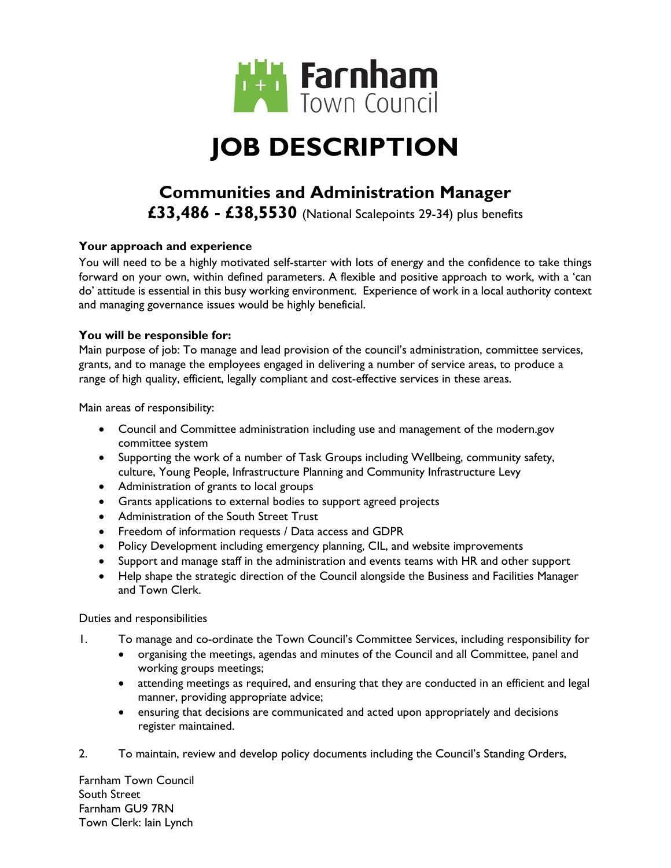

# **JOB DESCRIPTION**

## **Communities and Administration Manager**

**£33,486 - £38,5530** (National Scalepoints 29-34) plus benefits

#### **Your approach and experience**

You will need to be a highly motivated self-starter with lots of energy and the confidence to take things forward on your own, within defined parameters. A flexible and positive approach to work, with a 'can do' attitude is essential in this busy working environment. Experience of work in a local authority context and managing governance issues would be highly beneficial.

#### **You will be responsible for:**

Main purpose of job: To manage and lead provision of the council's administration, committee services, grants, and to manage the employees engaged in delivering a number of service areas, to produce a range of high quality, efficient, legally compliant and cost-effective services in these areas.

Main areas of responsibility:

- Council and Committee administration including use and management of the modern.gov committee system
- Supporting the work of a number of Task Groups including Wellbeing, community safety, culture, Young People, Infrastructure Planning and Community Infrastructure Levy
- Administration of grants to local groups
- Grants applications to external bodies to support agreed projects
- Administration of the South Street Trust
- Freedom of information requests / Data access and GDPR
- Policy Development including emergency planning, CIL, and website improvements
- Support and manage staff in the administration and events teams with HR and other support
- Help shape the strategic direction of the Council alongside the Business and Facilities Manager and Town Clerk.

#### Duties and responsibilities

- 1. To manage and co-ordinate the Town Council's Committee Services, including responsibility for
	- organising the meetings, agendas and minutes of the Council and all Committee, panel and working groups meetings;
	- attending meetings as required, and ensuring that they are conducted in an efficient and legal manner, providing appropriate advice;
	- ensuring that decisions are communicated and acted upon appropriately and decisions register maintained.
- 2. To maintain, review and develop policy documents including the Council's Standing Orders,

Farnham Town Council South Street Farnham GU9 7RN Town Clerk: Iain Lynch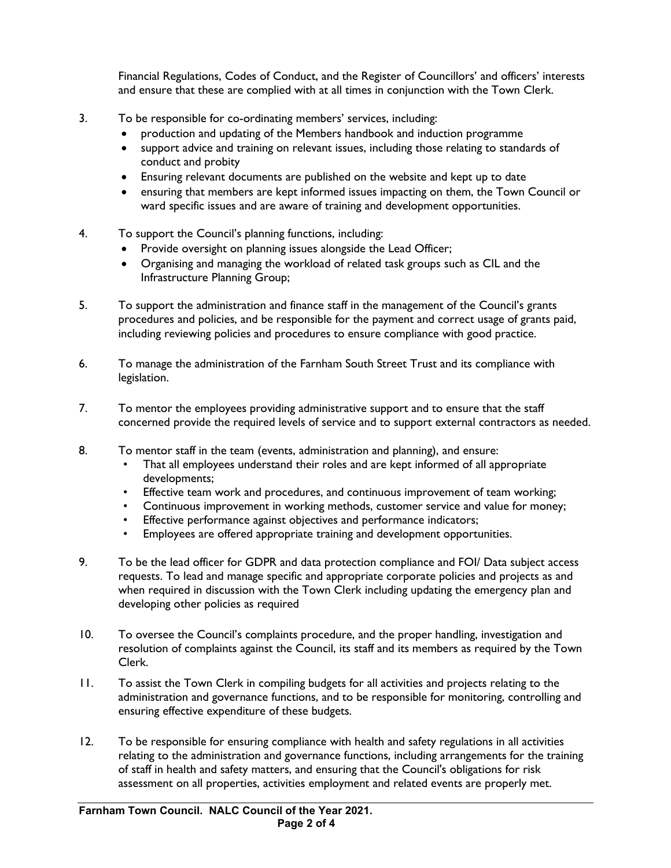Financial Regulations, Codes of Conduct, and the Register of Councillors' and officers' interests and ensure that these are complied with at all times in conjunction with the Town Clerk.

- 3. To be responsible for co-ordinating members' services, including:
	- production and updating of the Members handbook and induction programme
	- support advice and training on relevant issues, including those relating to standards of conduct and probity
	- Ensuring relevant documents are published on the website and kept up to date
	- ensuring that members are kept informed issues impacting on them, the Town Council or ward specific issues and are aware of training and development opportunities.
- 4. To support the Council's planning functions, including:
	- Provide oversight on planning issues alongside the Lead Officer;
	- Organising and managing the workload of related task groups such as CIL and the Infrastructure Planning Group;
- 5. To support the administration and finance staff in the management of the Council's grants procedures and policies, and be responsible for the payment and correct usage of grants paid, including reviewing policies and procedures to ensure compliance with good practice.
- 6. To manage the administration of the Farnham South Street Trust and its compliance with legislation.
- 7. To mentor the employees providing administrative support and to ensure that the staff concerned provide the required levels of service and to support external contractors as needed.
- 8. To mentor staff in the team (events, administration and planning), and ensure:
	- That all employees understand their roles and are kept informed of all appropriate developments;
	- Effective team work and procedures, and continuous improvement of team working;
	- Continuous improvement in working methods, customer service and value for money;
	- Effective performance against objectives and performance indicators;
	- Employees are offered appropriate training and development opportunities.
- 9. To be the lead officer for GDPR and data protection compliance and FOI/ Data subject access requests. To lead and manage specific and appropriate corporate policies and projects as and when required in discussion with the Town Clerk including updating the emergency plan and developing other policies as required
- 10. To oversee the Council's complaints procedure, and the proper handling, investigation and resolution of complaints against the Council, its staff and its members as required by the Town Clerk.
- 11. To assist the Town Clerk in compiling budgets for all activities and projects relating to the administration and governance functions, and to be responsible for monitoring, controlling and ensuring effective expenditure of these budgets.
- 12. To be responsible for ensuring compliance with health and safety regulations in all activities relating to the administration and governance functions, including arrangements for the training of staff in health and safety matters, and ensuring that the Council's obligations for risk assessment on all properties, activities employment and related events are properly met.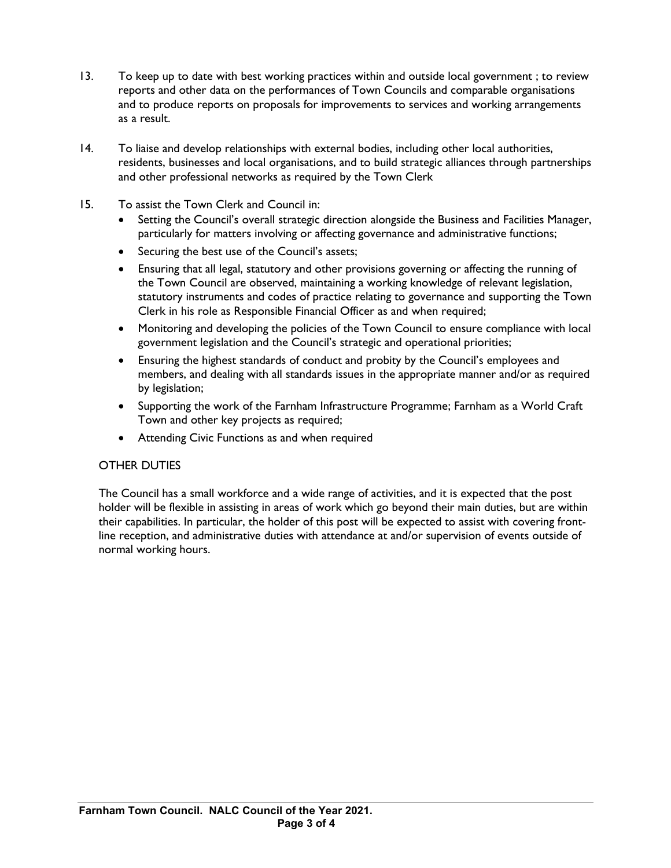- 13. To keep up to date with best working practices within and outside local government; to review reports and other data on the performances of Town Councils and comparable organisations and to produce reports on proposals for improvements to services and working arrangements as a result.
- 14. To liaise and develop relationships with external bodies, including other local authorities, residents, businesses and local organisations, and to build strategic alliances through partnerships and other professional networks as required by the Town Clerk
- 15. To assist the Town Clerk and Council in:
	- Setting the Council's overall strategic direction alongside the Business and Facilities Manager, particularly for matters involving or affecting governance and administrative functions;
	- Securing the best use of the Council's assets;
	- Ensuring that all legal, statutory and other provisions governing or affecting the running of the Town Council are observed, maintaining a working knowledge of relevant legislation, statutory instruments and codes of practice relating to governance and supporting the Town Clerk in his role as Responsible Financial Officer as and when required;
	- Monitoring and developing the policies of the Town Council to ensure compliance with local government legislation and the Council's strategic and operational priorities;
	- Ensuring the highest standards of conduct and probity by the Council's employees and members, and dealing with all standards issues in the appropriate manner and/or as required by legislation;
	- Supporting the work of the Farnham Infrastructure Programme; Farnham as a World Craft Town and other key projects as required;
	- Attending Civic Functions as and when required

#### OTHER DUTIES

The Council has a small workforce and a wide range of activities, and it is expected that the post holder will be flexible in assisting in areas of work which go beyond their main duties, but are within their capabilities. In particular, the holder of this post will be expected to assist with covering frontline reception, and administrative duties with attendance at and/or supervision of events outside of normal working hours.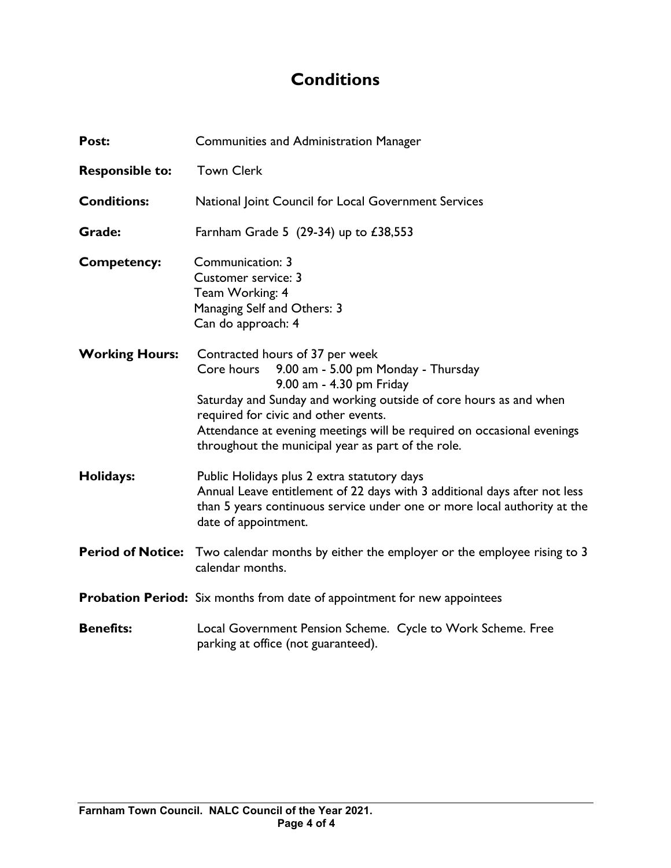### **Conditions**

| Post:                  | <b>Communities and Administration Manager</b>                                                                                                                                                                                                                                                                                                                 |  |  |  |  |
|------------------------|---------------------------------------------------------------------------------------------------------------------------------------------------------------------------------------------------------------------------------------------------------------------------------------------------------------------------------------------------------------|--|--|--|--|
| <b>Responsible to:</b> | <b>Town Clerk</b>                                                                                                                                                                                                                                                                                                                                             |  |  |  |  |
| <b>Conditions:</b>     | National Joint Council for Local Government Services                                                                                                                                                                                                                                                                                                          |  |  |  |  |
| Grade:                 | Farnham Grade 5 (29-34) up to £38,553                                                                                                                                                                                                                                                                                                                         |  |  |  |  |
| <b>Competency:</b>     | Communication: 3<br><b>Customer service: 3</b><br>Team Working: 4<br>Managing Self and Others: 3<br>Can do approach: 4                                                                                                                                                                                                                                        |  |  |  |  |
| <b>Working Hours:</b>  | Contracted hours of 37 per week<br>9.00 am - 5.00 pm Monday - Thursday<br>Core hours<br>9.00 am - 4.30 pm Friday<br>Saturday and Sunday and working outside of core hours as and when<br>required for civic and other events.<br>Attendance at evening meetings will be required on occasional evenings<br>throughout the municipal year as part of the role. |  |  |  |  |
| Holidays:              | Public Holidays plus 2 extra statutory days<br>Annual Leave entitlement of 22 days with 3 additional days after not less<br>than 5 years continuous service under one or more local authority at the<br>date of appointment.                                                                                                                                  |  |  |  |  |
|                        | Period of Notice: Two calendar months by either the employer or the employee rising to 3<br>calendar months.                                                                                                                                                                                                                                                  |  |  |  |  |
|                        | <b>Probation Period:</b> Six months from date of appointment for new appointees                                                                                                                                                                                                                                                                               |  |  |  |  |
| <b>Benefits:</b>       | Local Government Pension Scheme. Cycle to Work Scheme. Free<br>parking at office (not guaranteed).                                                                                                                                                                                                                                                            |  |  |  |  |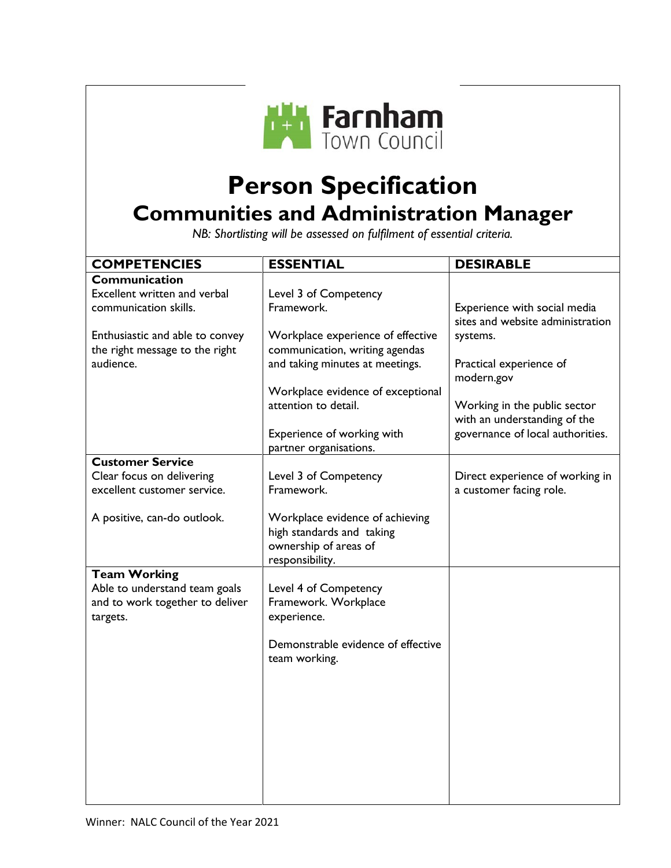

# **Person Specification**

## **Communities and Administration Manager**

*NB: Shortlisting will be assessed on fulfilment of essential criteria.*

| <b>COMPETENCIES</b>                         | <b>ESSENTIAL</b>                                                                                         | <b>DESIRABLE</b>                                                 |
|---------------------------------------------|----------------------------------------------------------------------------------------------------------|------------------------------------------------------------------|
| Communication                               |                                                                                                          |                                                                  |
| Excellent written and verbal                | Level 3 of Competency                                                                                    |                                                                  |
| communication skills.                       | Framework.                                                                                               | Experience with social media<br>sites and website administration |
| Enthusiastic and able to convey             | Workplace experience of effective                                                                        | systems.                                                         |
| the right message to the right              | communication, writing agendas                                                                           |                                                                  |
| audience.                                   | and taking minutes at meetings.                                                                          | Practical experience of<br>modern.gov                            |
|                                             | Workplace evidence of exceptional                                                                        |                                                                  |
|                                             | attention to detail.                                                                                     | Working in the public sector<br>with an understanding of the     |
|                                             | Experience of working with                                                                               | governance of local authorities.                                 |
|                                             | partner organisations.                                                                                   |                                                                  |
| <b>Customer Service</b>                     |                                                                                                          |                                                                  |
| Clear focus on delivering                   | Level 3 of Competency                                                                                    | Direct experience of working in                                  |
| excellent customer service.                 | Framework.                                                                                               | a customer facing role.                                          |
| A positive, can-do outlook.                 | Workplace evidence of achieving<br>high standards and taking<br>ownership of areas of<br>responsibility. |                                                                  |
| <b>Team Working</b>                         |                                                                                                          |                                                                  |
| Able to understand team goals               | Level 4 of Competency                                                                                    |                                                                  |
| and to work together to deliver<br>targets. | Framework. Workplace<br>experience.                                                                      |                                                                  |
|                                             | Demonstrable evidence of effective<br>team working.                                                      |                                                                  |
|                                             |                                                                                                          |                                                                  |
|                                             |                                                                                                          |                                                                  |
|                                             |                                                                                                          |                                                                  |
|                                             |                                                                                                          |                                                                  |
|                                             |                                                                                                          |                                                                  |
|                                             |                                                                                                          |                                                                  |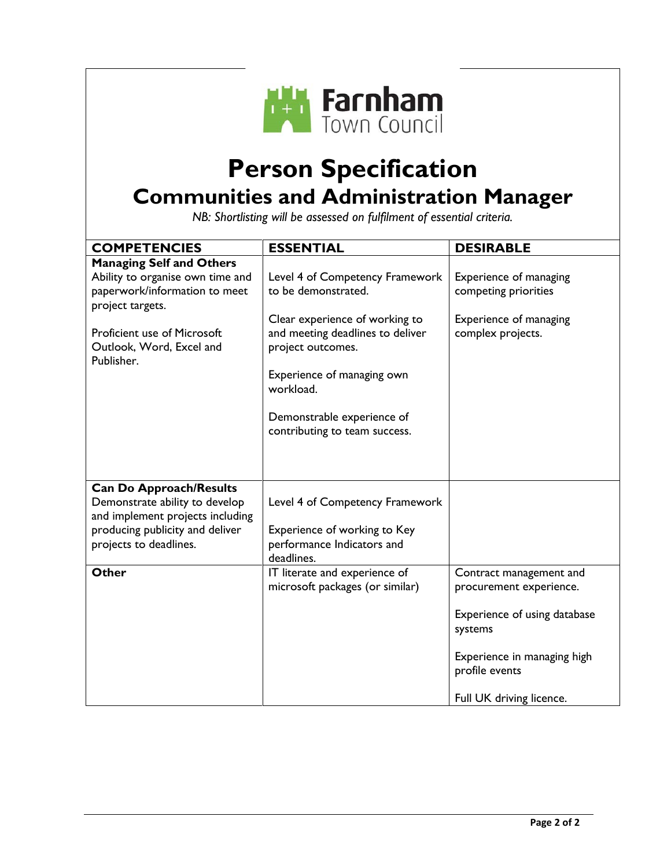

# **Person Specification Communities and Administration Manager**

*NB: Shortlisting will be assessed on fulfilment of essential criteria.*

| <b>COMPETENCIES</b>                | <b>ESSENTIAL</b>                                            | <b>DESIRABLE</b>                              |
|------------------------------------|-------------------------------------------------------------|-----------------------------------------------|
| <b>Managing Self and Others</b>    |                                                             |                                               |
| Ability to organise own time and   | Level 4 of Competency Framework                             | Experience of managing                        |
| paperwork/information to meet      | to be demonstrated.                                         | competing priorities                          |
| project targets.                   | Clear experience of working to                              | Experience of managing                        |
| <b>Proficient use of Microsoft</b> | and meeting deadlines to deliver                            | complex projects.                             |
| Outlook, Word, Excel and           | project outcomes.                                           |                                               |
| Publisher.                         |                                                             |                                               |
|                                    | Experience of managing own                                  |                                               |
|                                    | workload.                                                   |                                               |
|                                    |                                                             |                                               |
|                                    | Demonstrable experience of<br>contributing to team success. |                                               |
|                                    |                                                             |                                               |
|                                    |                                                             |                                               |
|                                    |                                                             |                                               |
| <b>Can Do Approach/Results</b>     |                                                             |                                               |
| Demonstrate ability to develop     | Level 4 of Competency Framework                             |                                               |
| and implement projects including   |                                                             |                                               |
| producing publicity and deliver    | Experience of working to Key                                |                                               |
| projects to deadlines.             | performance Indicators and<br>deadlines.                    |                                               |
| <b>Other</b>                       | IT literate and experience of                               | Contract management and                       |
|                                    | microsoft packages (or similar)                             | procurement experience.                       |
|                                    |                                                             |                                               |
|                                    |                                                             | Experience of using database                  |
|                                    |                                                             | systems                                       |
|                                    |                                                             |                                               |
|                                    |                                                             | Experience in managing high<br>profile events |
|                                    |                                                             |                                               |
|                                    |                                                             | Full UK driving licence.                      |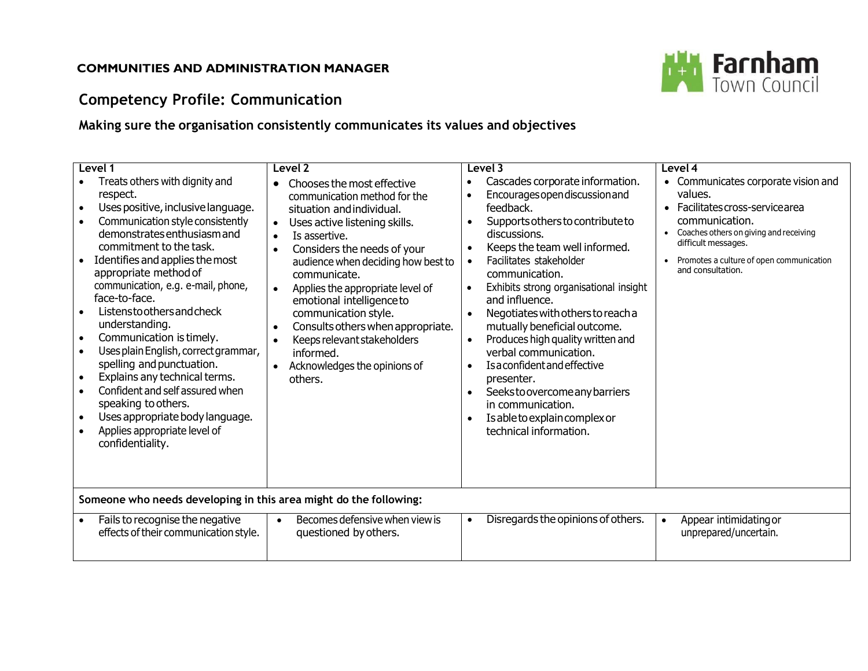

### **Competency Profile: Communication**

**Making sure the organisation consistently communicates its values and objectives**

| Level 1<br>Treats others with dignity and<br>respect.<br>Uses positive, inclusive language.<br>Communication style consistently<br>demonstrates enthusiasm and<br>commitment to the task.<br>Identifies and applies the most<br>appropriate method of<br>communication, e.g. e-mail, phone,<br>face-to-face.<br>Listenstoothers and check<br>understanding.<br>Communication is timely.<br>$\bullet$<br>Uses plain English, correct grammar,<br>spelling and punctuation.<br>Explains any technical terms.<br>Confident and self assured when<br>speaking to others.<br>Uses appropriate body language.<br>$\bullet$<br>Applies appropriate level of<br>confidentiality. | Level 2<br>Chooses the most effective<br>$\bullet$<br>communication method for the<br>situation and individual.<br>Uses active listening skills.<br>$\bullet$<br>Is assertive.<br>Considers the needs of your<br>$\bullet$<br>audience when deciding how best to<br>communicate.<br>Applies the appropriate level of<br>emotional intelligence to<br>communication style.<br>Consults others when appropriate.<br>$\bullet$<br>Keeps relevant stakeholders<br>$\bullet$<br>informed.<br>Acknowledges the opinions of<br>others. | Level 3<br>Cascades corporate information.<br>$\bullet$<br>Encourages open discussion and<br>$\bullet$<br>feedback.<br>Supports others to contribute to<br>$\bullet$<br>discussions.<br>Keeps the team well informed.<br>$\bullet$<br>Facilitates stakeholder<br>$\bullet$<br>communication.<br>Exhibits strong organisational insight<br>$\bullet$<br>and influence.<br>Negotiates with others to reach a<br>$\bullet$<br>mutually beneficial outcome.<br>Produces high quality written and<br>$\bullet$<br>verbal communication.<br>Is a confident and effective<br>$\bullet$<br>presenter.<br>Seeks to overcome any barriers<br>$\bullet$<br>in communication.<br>Is able to explain complex or<br>technical information. | Level 4<br>• Communicates corporate vision and<br>values.<br>• Facilitates cross-service area<br>communication.<br>• Coaches others on giving and receiving<br>difficult messages.<br>Promotes a culture of open communication<br>and consultation. |
|--------------------------------------------------------------------------------------------------------------------------------------------------------------------------------------------------------------------------------------------------------------------------------------------------------------------------------------------------------------------------------------------------------------------------------------------------------------------------------------------------------------------------------------------------------------------------------------------------------------------------------------------------------------------------|---------------------------------------------------------------------------------------------------------------------------------------------------------------------------------------------------------------------------------------------------------------------------------------------------------------------------------------------------------------------------------------------------------------------------------------------------------------------------------------------------------------------------------|------------------------------------------------------------------------------------------------------------------------------------------------------------------------------------------------------------------------------------------------------------------------------------------------------------------------------------------------------------------------------------------------------------------------------------------------------------------------------------------------------------------------------------------------------------------------------------------------------------------------------------------------------------------------------------------------------------------------------|-----------------------------------------------------------------------------------------------------------------------------------------------------------------------------------------------------------------------------------------------------|
| Someone who needs developing in this area might do the following:                                                                                                                                                                                                                                                                                                                                                                                                                                                                                                                                                                                                        |                                                                                                                                                                                                                                                                                                                                                                                                                                                                                                                                 |                                                                                                                                                                                                                                                                                                                                                                                                                                                                                                                                                                                                                                                                                                                              |                                                                                                                                                                                                                                                     |
| Fails to recognise the negative<br>effects of their communication style.                                                                                                                                                                                                                                                                                                                                                                                                                                                                                                                                                                                                 | Becomes defensive when view is<br>questioned by others.                                                                                                                                                                                                                                                                                                                                                                                                                                                                         | Disregards the opinions of others.<br>$\bullet$                                                                                                                                                                                                                                                                                                                                                                                                                                                                                                                                                                                                                                                                              | Appear intimidating or<br>unprepared/uncertain.                                                                                                                                                                                                     |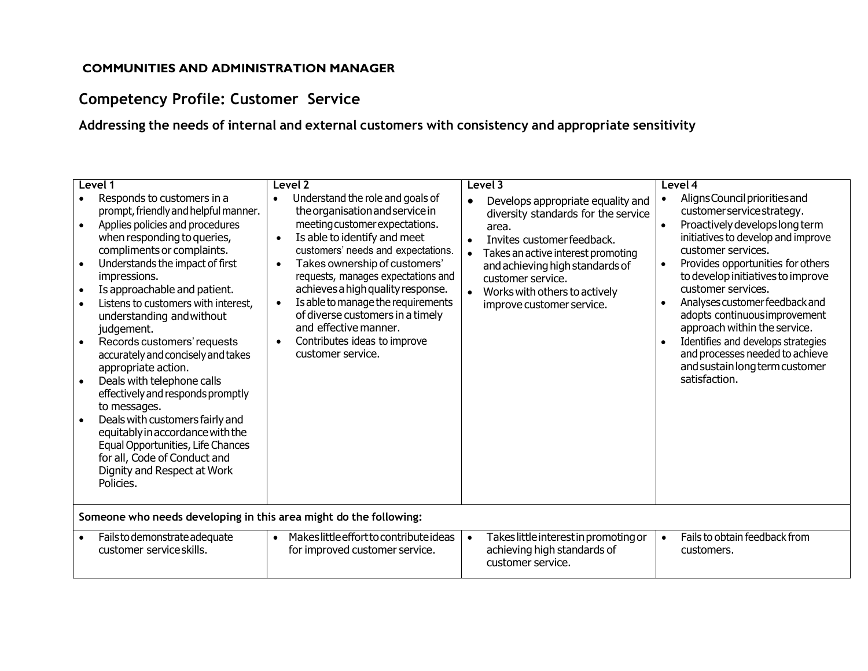### **Competency Profile: Customer Service**

**Addressing the needs of internal and external customers with consistency and appropriate sensitivity**

| $\bullet$<br>$\bullet$<br>$\bullet$<br>$\bullet$<br>$\bullet$<br>$\bullet$ | Level 1<br>Responds to customers in a<br>prompt, friendly and helpful manner.<br>Applies policies and procedures<br>when responding to queries,<br>compliments or complaints.<br>Understands the impact of first<br>impressions.<br>Is approachable and patient.<br>Listens to customers with interest,<br>understanding and without<br>judgement.<br>Records customers' requests<br>accurately and concisely and takes<br>appropriate action.<br>Deals with telephone calls<br>effectively and responds promptly<br>to messages.<br>Deals with customers fairly and<br>equitably in accordance with the<br>Equal Opportunities, Life Chances<br>for all, Code of Conduct and<br>Dignity and Respect at Work | Level 2<br>Understand the role and goals of<br>$\bullet$<br>the organisation and service in<br>meeting customer expectations.<br>Is able to identify and meet<br>$\bullet$<br>customers' needs and expectations.<br>Takes ownership of customers'<br>$\bullet$<br>requests, manages expectations and<br>achieves a high quality response.<br>Is able to manage the requirements<br>$\bullet$<br>of diverse customers in a timely<br>and effective manner.<br>Contributes ideas to improve<br>$\bullet$<br>customer service. | $\bullet$<br>$\bullet$<br>$\bullet$ | Level 3<br>Develops appropriate equality and<br>diversity standards for the service<br>area.<br>Invites customer feedback.<br>Takes an active interest promoting<br>and achieving high standards of<br>customer service.<br>Works with others to actively<br>improve customer service. | $\bullet$<br>$\bullet$<br>$\bullet$<br>$\bullet$<br>$\bullet$ | Level 4<br>Aligns Council priorities and<br>customer service strategy.<br>Proactively develops long term<br>initiatives to develop and improve<br>customer services.<br>Provides opportunities for others<br>to develop initiatives to improve<br>customer services.<br>Analyses customer feedback and<br>adopts continuousimprovement<br>approach within the service.<br>Identifies and develops strategies<br>and processes needed to achieve<br>and sustain long term customer<br>satisfaction. |
|----------------------------------------------------------------------------|--------------------------------------------------------------------------------------------------------------------------------------------------------------------------------------------------------------------------------------------------------------------------------------------------------------------------------------------------------------------------------------------------------------------------------------------------------------------------------------------------------------------------------------------------------------------------------------------------------------------------------------------------------------------------------------------------------------|-----------------------------------------------------------------------------------------------------------------------------------------------------------------------------------------------------------------------------------------------------------------------------------------------------------------------------------------------------------------------------------------------------------------------------------------------------------------------------------------------------------------------------|-------------------------------------|----------------------------------------------------------------------------------------------------------------------------------------------------------------------------------------------------------------------------------------------------------------------------------------|---------------------------------------------------------------|----------------------------------------------------------------------------------------------------------------------------------------------------------------------------------------------------------------------------------------------------------------------------------------------------------------------------------------------------------------------------------------------------------------------------------------------------------------------------------------------------|
|                                                                            | Policies.                                                                                                                                                                                                                                                                                                                                                                                                                                                                                                                                                                                                                                                                                                    |                                                                                                                                                                                                                                                                                                                                                                                                                                                                                                                             |                                     |                                                                                                                                                                                                                                                                                        |                                                               |                                                                                                                                                                                                                                                                                                                                                                                                                                                                                                    |
|                                                                            | Someone who needs developing in this area might do the following:                                                                                                                                                                                                                                                                                                                                                                                                                                                                                                                                                                                                                                            |                                                                                                                                                                                                                                                                                                                                                                                                                                                                                                                             |                                     |                                                                                                                                                                                                                                                                                        |                                                               |                                                                                                                                                                                                                                                                                                                                                                                                                                                                                                    |
|                                                                            | Fails to demonstrate adequate<br>customer service skills.                                                                                                                                                                                                                                                                                                                                                                                                                                                                                                                                                                                                                                                    | Makes little effort to contribute ideas<br>$\bullet$<br>for improved customer service.                                                                                                                                                                                                                                                                                                                                                                                                                                      | $\bullet$                           | Takes little interest in promoting or<br>achieving high standards of<br>customer service.                                                                                                                                                                                              | $\bullet$                                                     | Fails to obtain feedback from<br>customers.                                                                                                                                                                                                                                                                                                                                                                                                                                                        |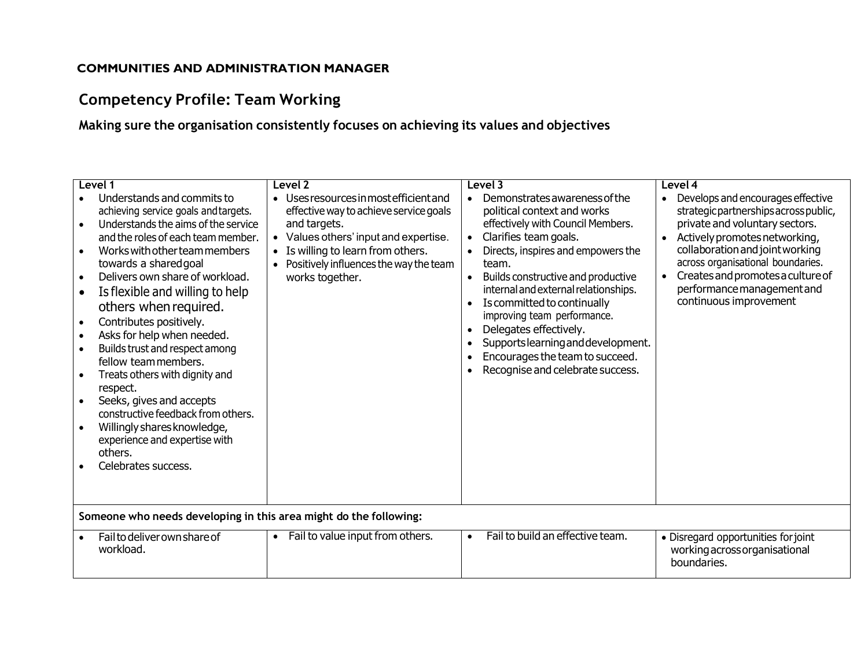### **Competency Profile: Team Working**

**Making sure the organisation consistently focuses on achieving its values and objectives**

| $\bullet$ | Level 1<br>Understands and commits to<br>achieving service goals and targets.<br>Understands the aims of the service<br>and the roles of each team member.<br>Works with other team members<br>towards a shared goal<br>Delivers own share of workload.<br>Is flexible and willing to help<br>others when required.<br>Contributes positively.<br>Asks for help when needed.<br>Builds trust and respect among<br>fellow team members.<br>Treats others with dignity and<br>respect.<br>Seeks, gives and accepts<br>constructive feedback from others.<br>Willingly shares knowledge,<br>experience and expertise with<br>others.<br>Celebrates success. | Level 2<br>• Uses resources in most efficient and<br>effective way to achieve service goals<br>and targets.<br>Values others' input and expertise.<br>Is willing to learn from others.<br>Positively influences the way the team<br>works together. | Level 3<br>Demonstrates awareness of the<br>$\bullet$<br>political context and works<br>effectively with Council Members.<br>Clarifies team goals.<br>$\bullet$<br>Directs, inspires and empowers the<br>$\bullet$<br>team.<br>Builds constructive and productive<br>$\bullet$<br>internal and external relationships.<br>Is committed to continually<br>improving team performance.<br>Delegates effectively.<br>Supports learning and development.<br>Encourages the team to succeed.<br>Recognise and celebrate success. | Level 4<br>Develops and encourages effective<br>strategic partnerships across public,<br>private and voluntary sectors.<br>Actively promotes networking,<br>$\bullet$<br>collaboration and joint working<br>across organisational boundaries.<br>Creates and promotes a culture of<br>performance management and<br>continuous improvement |
|-----------|----------------------------------------------------------------------------------------------------------------------------------------------------------------------------------------------------------------------------------------------------------------------------------------------------------------------------------------------------------------------------------------------------------------------------------------------------------------------------------------------------------------------------------------------------------------------------------------------------------------------------------------------------------|-----------------------------------------------------------------------------------------------------------------------------------------------------------------------------------------------------------------------------------------------------|-----------------------------------------------------------------------------------------------------------------------------------------------------------------------------------------------------------------------------------------------------------------------------------------------------------------------------------------------------------------------------------------------------------------------------------------------------------------------------------------------------------------------------|--------------------------------------------------------------------------------------------------------------------------------------------------------------------------------------------------------------------------------------------------------------------------------------------------------------------------------------------|
|           | Someone who needs developing in this area might do the following:                                                                                                                                                                                                                                                                                                                                                                                                                                                                                                                                                                                        |                                                                                                                                                                                                                                                     |                                                                                                                                                                                                                                                                                                                                                                                                                                                                                                                             |                                                                                                                                                                                                                                                                                                                                            |
|           | Fail to deliver own share of<br>workload.                                                                                                                                                                                                                                                                                                                                                                                                                                                                                                                                                                                                                | Fail to value input from others.<br>$\bullet$                                                                                                                                                                                                       | Fail to build an effective team.<br>$\bullet$                                                                                                                                                                                                                                                                                                                                                                                                                                                                               | • Disregard opportunities for joint<br>working across organisational<br>boundaries.                                                                                                                                                                                                                                                        |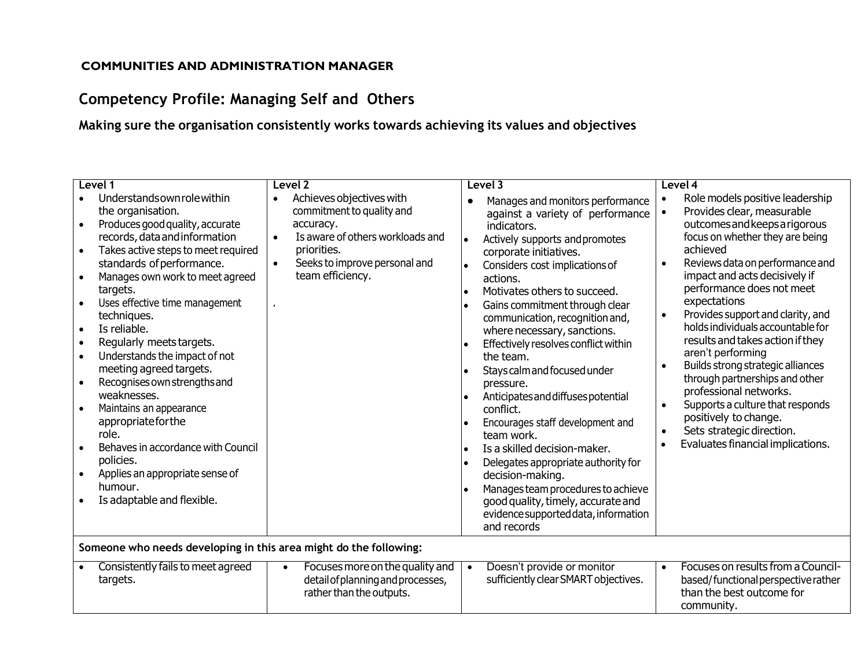### **Competency Profile: Managing Self and Others**

**Making sure the organisation consistently works towards achieving its values and objectives**

| Level 1                                                                                                                                                                                                                                                                                                                                                                                                                                                                                                                                                                                                                                                                                                              | Level 2                                                                                                                                                                                              | Level 3                                                                                                                                                                                                                                                                                                                                                                                                                                                                                                                                                                                                                                                                                                                                                                | Level 4                                                                                                                                                                                                                                                                                                                                                                                                                                                                                                                                                                                                                                        |
|----------------------------------------------------------------------------------------------------------------------------------------------------------------------------------------------------------------------------------------------------------------------------------------------------------------------------------------------------------------------------------------------------------------------------------------------------------------------------------------------------------------------------------------------------------------------------------------------------------------------------------------------------------------------------------------------------------------------|------------------------------------------------------------------------------------------------------------------------------------------------------------------------------------------------------|------------------------------------------------------------------------------------------------------------------------------------------------------------------------------------------------------------------------------------------------------------------------------------------------------------------------------------------------------------------------------------------------------------------------------------------------------------------------------------------------------------------------------------------------------------------------------------------------------------------------------------------------------------------------------------------------------------------------------------------------------------------------|------------------------------------------------------------------------------------------------------------------------------------------------------------------------------------------------------------------------------------------------------------------------------------------------------------------------------------------------------------------------------------------------------------------------------------------------------------------------------------------------------------------------------------------------------------------------------------------------------------------------------------------------|
| Understandsown role within<br>$\bullet$<br>the organisation.<br>Produces good quality, accurate<br>$\bullet$<br>records, data and information<br>Takes active steps to meet required<br>$\bullet$<br>standards of performance.<br>Manages own work to meet agreed<br>$\bullet$<br>targets.<br>Uses effective time management<br>techniques.<br>Is reliable.<br>$\bullet$<br>Regularly meets targets.<br>Understands the impact of not<br>$\bullet$<br>meeting agreed targets.<br>Recognises own strengths and<br>weaknesses.<br>Maintains an appearance<br>appropriateforthe<br>role.<br>Behaves in accordance with Council<br>policies.<br>Applies an appropriate sense of<br>humour.<br>Is adaptable and flexible. | Achieves objectives with<br>$\bullet$<br>commitment to quality and<br>accuracy.<br>Is aware of others workloads and<br>$\bullet$<br>priorities.<br>Seeks to improve personal and<br>team efficiency. | Manages and monitors performance<br>against a variety of performance<br>indicators.<br>Actively supports and promotes<br>corporate initiatives.<br>Considers cost implications of<br>actions.<br>Motivates others to succeed.<br>Gains commitment through clear<br>communication, recognition and,<br>where necessary, sanctions.<br>Effectively resolves conflict within<br>the team.<br>Stays calm and focused under<br>pressure.<br>Anticipates and diffuses potential<br>conflict.<br>Encourages staff development and<br>team work.<br>Is a skilled decision-maker.<br>Delegates appropriate authority for<br>decision-making.<br>Manages team procedures to achieve<br>good quality, timely, accurate and<br>evidence supported data, information<br>and records | Role models positive leadership<br>Provides clear, measurable<br>outcomes and keeps a rigorous<br>focus on whether they are being<br>achieved<br>Reviews data on performance and<br>impact and acts decisively if<br>performance does not meet<br>expectations<br>Provides support and clarity, and<br>$\bullet$<br>holds individuals accountable for<br>results and takes action if they<br>aren't performing<br>Builds strong strategic alliances<br>through partnerships and other<br>professional networks.<br>Supports a culture that responds<br>positively to change.<br>Sets strategic direction.<br>Evaluates financial implications. |
| Someone who needs developing in this area might do the following:                                                                                                                                                                                                                                                                                                                                                                                                                                                                                                                                                                                                                                                    |                                                                                                                                                                                                      |                                                                                                                                                                                                                                                                                                                                                                                                                                                                                                                                                                                                                                                                                                                                                                        |                                                                                                                                                                                                                                                                                                                                                                                                                                                                                                                                                                                                                                                |
| Consistently fails to meet agreed<br>targets.                                                                                                                                                                                                                                                                                                                                                                                                                                                                                                                                                                                                                                                                        | Focuses more on the quality and<br>$\bullet$<br>detail of planning and processes,<br>rather than the outputs.                                                                                        | Doesn't provide or monitor<br>$\bullet$<br>sufficiently clear SMART objectives.                                                                                                                                                                                                                                                                                                                                                                                                                                                                                                                                                                                                                                                                                        | Focuses on results from a Council-<br>$\bullet$<br>based/functional perspective rather<br>than the best outcome for<br>community.                                                                                                                                                                                                                                                                                                                                                                                                                                                                                                              |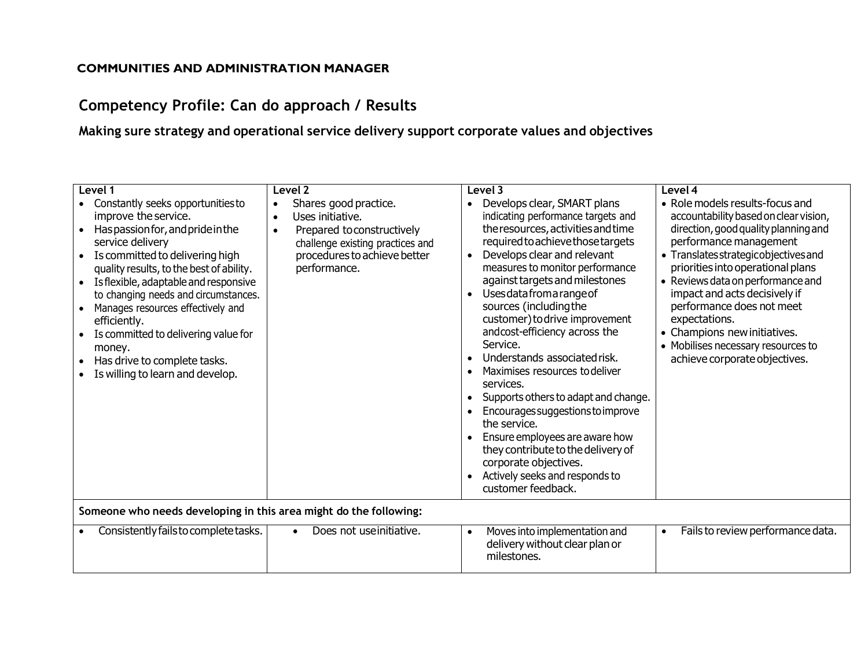### **Competency Profile: Can do approach / Results**

### **Making sure strategy and operational service delivery support corporate values and objectives**

| Level 1                                                                                                                                                                                                                                                                                                                                                                                                                                                       | Level 2                                                                                                                                                                  | Level 3                                                                                                                                                                                                                                                                                                                                                                                                                                                                                                                                                                                                                                                                                                                                  | Level 4                                                                                                                                                                                                                                                                                                                                                                                                                                            |  |
|---------------------------------------------------------------------------------------------------------------------------------------------------------------------------------------------------------------------------------------------------------------------------------------------------------------------------------------------------------------------------------------------------------------------------------------------------------------|--------------------------------------------------------------------------------------------------------------------------------------------------------------------------|------------------------------------------------------------------------------------------------------------------------------------------------------------------------------------------------------------------------------------------------------------------------------------------------------------------------------------------------------------------------------------------------------------------------------------------------------------------------------------------------------------------------------------------------------------------------------------------------------------------------------------------------------------------------------------------------------------------------------------------|----------------------------------------------------------------------------------------------------------------------------------------------------------------------------------------------------------------------------------------------------------------------------------------------------------------------------------------------------------------------------------------------------------------------------------------------------|--|
| Constantly seeks opportunities to<br>improve the service.<br>Has passion for, and pride in the<br>service delivery<br>Is committed to delivering high<br>quality results, to the best of ability.<br>Is flexible, adaptable and responsive<br>to changing needs and circumstances.<br>Manages resources effectively and<br>efficiently.<br>Is committed to delivering value for<br>money.<br>Has drive to complete tasks.<br>Is willing to learn and develop. | Shares good practice.<br>Uses initiative.<br>$\bullet$<br>Prepared to constructively<br>challenge existing practices and<br>procedures to achieve better<br>performance. | Develops clear, SMART plans<br>indicating performance targets and<br>the resources, activities and time<br>required to achieve those targets<br>Develops clear and relevant<br>$\bullet$<br>measures to monitor performance<br>against targets and milestones<br>Uses data from a range of<br>sources (including the<br>customer) to drive improvement<br>andcost-efficiency across the<br>Service.<br>Understands associated risk.<br>Maximises resources to deliver<br>services.<br>Supports others to adapt and change.<br>Encourages suggestions to improve<br>the service.<br>Ensure employees are aware how<br>they contribute to the delivery of<br>corporate objectives.<br>Actively seeks and responds to<br>customer feedback. | • Role models results-focus and<br>accountability based on clear vision,<br>direction, good quality planning and<br>performance management<br>• Translates strategicobjectives and<br>priorities into operational plans<br>• Reviews data on performance and<br>impact and acts decisively if<br>performance does not meet<br>expectations.<br>• Champions new initiatives.<br>• Mobilises necessary resources to<br>achieve corporate objectives. |  |
| Someone who needs developing in this area might do the following:                                                                                                                                                                                                                                                                                                                                                                                             |                                                                                                                                                                          |                                                                                                                                                                                                                                                                                                                                                                                                                                                                                                                                                                                                                                                                                                                                          |                                                                                                                                                                                                                                                                                                                                                                                                                                                    |  |
| Consistently fails to complete tasks.                                                                                                                                                                                                                                                                                                                                                                                                                         | Does not use initiative.<br>$\bullet$                                                                                                                                    | Moves into implementation and<br>$\bullet$<br>delivery without clear plan or<br>milestones.                                                                                                                                                                                                                                                                                                                                                                                                                                                                                                                                                                                                                                              | Fails to review performance data.                                                                                                                                                                                                                                                                                                                                                                                                                  |  |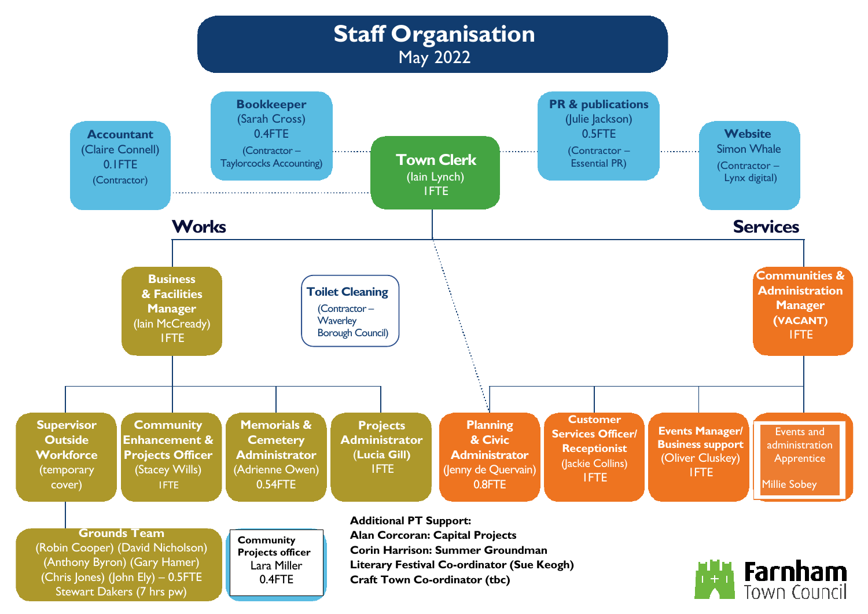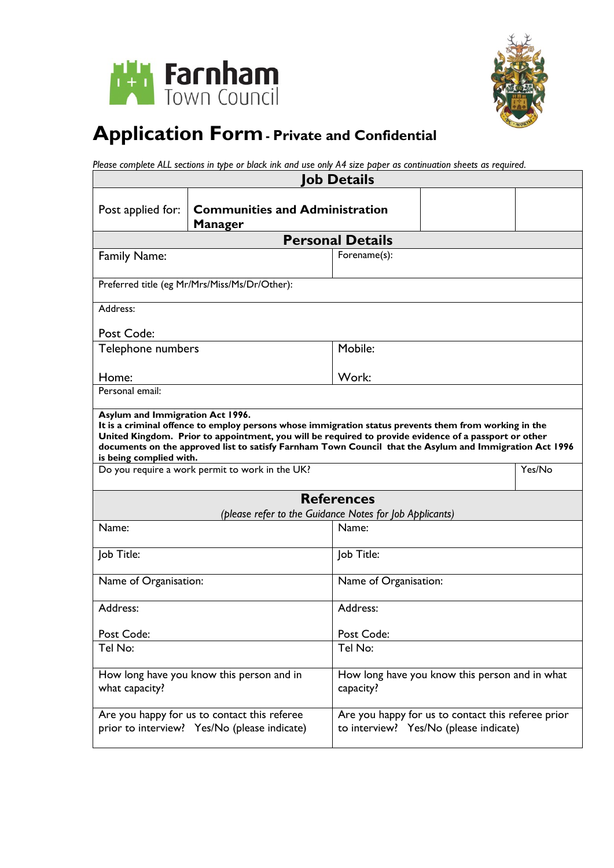



## **Application Form- Private and Confidential**

*Please complete ALL sections in type or black ink and use only A4 size paper as continuation sheets as required.*

| <b>Job Details</b>                                                                                                                                                                                                                                                                                                                                                                                                                                    |                                                         |                         |                                                                                              |  |  |  |
|-------------------------------------------------------------------------------------------------------------------------------------------------------------------------------------------------------------------------------------------------------------------------------------------------------------------------------------------------------------------------------------------------------------------------------------------------------|---------------------------------------------------------|-------------------------|----------------------------------------------------------------------------------------------|--|--|--|
| Post applied for:                                                                                                                                                                                                                                                                                                                                                                                                                                     | <b>Communities and Administration</b><br><b>Manager</b> |                         |                                                                                              |  |  |  |
|                                                                                                                                                                                                                                                                                                                                                                                                                                                       |                                                         | <b>Personal Details</b> |                                                                                              |  |  |  |
| <b>Family Name:</b>                                                                                                                                                                                                                                                                                                                                                                                                                                   | Forename(s):                                            |                         |                                                                                              |  |  |  |
|                                                                                                                                                                                                                                                                                                                                                                                                                                                       | Preferred title (eg Mr/Mrs/Miss/Ms/Dr/Other):           |                         |                                                                                              |  |  |  |
| Address:                                                                                                                                                                                                                                                                                                                                                                                                                                              |                                                         |                         |                                                                                              |  |  |  |
| Post Code:                                                                                                                                                                                                                                                                                                                                                                                                                                            |                                                         |                         |                                                                                              |  |  |  |
| Telephone numbers                                                                                                                                                                                                                                                                                                                                                                                                                                     |                                                         | Mobile:                 |                                                                                              |  |  |  |
| Home:                                                                                                                                                                                                                                                                                                                                                                                                                                                 |                                                         | Work:                   |                                                                                              |  |  |  |
| Personal email:                                                                                                                                                                                                                                                                                                                                                                                                                                       |                                                         |                         |                                                                                              |  |  |  |
| Asylum and Immigration Act 1996.<br>It is a criminal offence to employ persons whose immigration status prevents them from working in the<br>United Kingdom. Prior to appointment, you will be required to provide evidence of a passport or other<br>documents on the approved list to satisfy Farnham Town Council that the Asylum and Immigration Act 1996<br>is being complied with.<br>Do you require a work permit to work in the UK?<br>Yes/No |                                                         |                         |                                                                                              |  |  |  |
|                                                                                                                                                                                                                                                                                                                                                                                                                                                       |                                                         |                         |                                                                                              |  |  |  |
|                                                                                                                                                                                                                                                                                                                                                                                                                                                       | (please refer to the Guidance Notes for Job Applicants) | <b>References</b>       |                                                                                              |  |  |  |
| Name:                                                                                                                                                                                                                                                                                                                                                                                                                                                 |                                                         | Name:                   |                                                                                              |  |  |  |
| Job Title:                                                                                                                                                                                                                                                                                                                                                                                                                                            |                                                         | Job Title:              |                                                                                              |  |  |  |
| Name of Organisation:                                                                                                                                                                                                                                                                                                                                                                                                                                 |                                                         | Name of Organisation:   |                                                                                              |  |  |  |
| Address:                                                                                                                                                                                                                                                                                                                                                                                                                                              |                                                         | Address:                |                                                                                              |  |  |  |
| Post Code:                                                                                                                                                                                                                                                                                                                                                                                                                                            |                                                         | Post Code:              |                                                                                              |  |  |  |
| Tel No:<br>Tel No:                                                                                                                                                                                                                                                                                                                                                                                                                                    |                                                         |                         |                                                                                              |  |  |  |
| How long have you know this person and in<br>How long have you know this person and in what<br>what capacity?<br>capacity?                                                                                                                                                                                                                                                                                                                            |                                                         |                         |                                                                                              |  |  |  |
| Are you happy for us to contact this referee<br>prior to interview? Yes/No (please indicate)                                                                                                                                                                                                                                                                                                                                                          |                                                         |                         | Are you happy for us to contact this referee prior<br>to interview? Yes/No (please indicate) |  |  |  |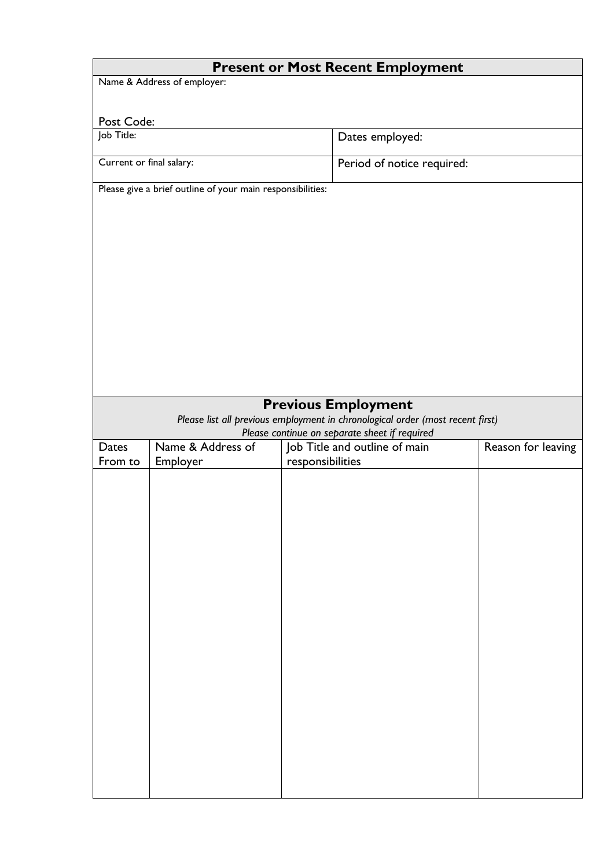|                                                            | <b>Present or Most Recent Employment</b> |                  |                                                                                                                                                               |                    |  |  |
|------------------------------------------------------------|------------------------------------------|------------------|---------------------------------------------------------------------------------------------------------------------------------------------------------------|--------------------|--|--|
| Post Code:                                                 | Name & Address of employer:              |                  |                                                                                                                                                               |                    |  |  |
| Job Title:                                                 |                                          |                  | Dates employed:                                                                                                                                               |                    |  |  |
| Current or final salary:                                   |                                          |                  |                                                                                                                                                               |                    |  |  |
|                                                            | Period of notice required:               |                  |                                                                                                                                                               |                    |  |  |
| Please give a brief outline of your main responsibilities: |                                          |                  |                                                                                                                                                               |                    |  |  |
|                                                            |                                          |                  | <b>Previous Employment</b><br>Please list all previous employment in chronological order (most recent first)<br>Please continue on separate sheet if required |                    |  |  |
| <b>Dates</b><br>From to                                    | Name & Address of                        |                  | Job Title and outline of main                                                                                                                                 | Reason for leaving |  |  |
|                                                            | Employer                                 | responsibilities |                                                                                                                                                               |                    |  |  |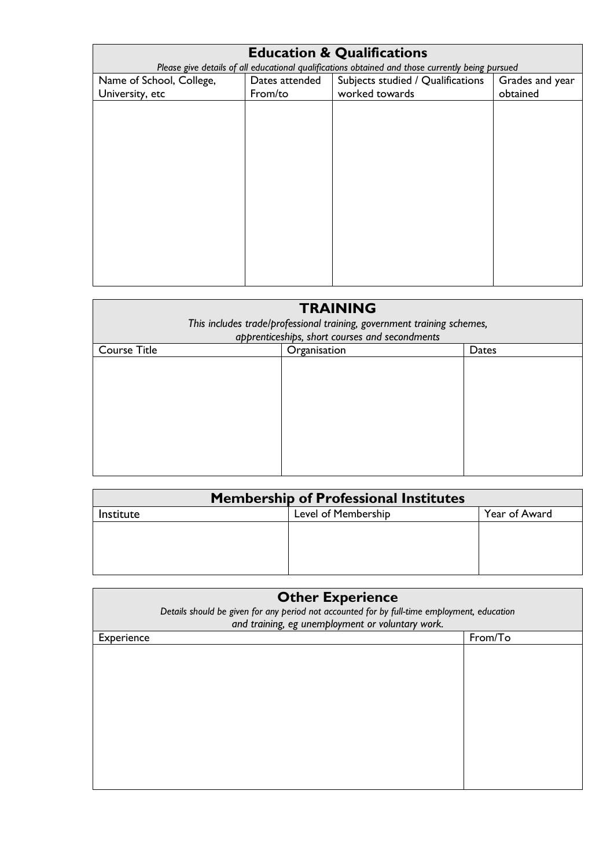| <b>Education &amp; Qualifications</b><br>Please give details of all educational qualifications obtained and those currently being pursued |                           |                             |  |  |  |
|-------------------------------------------------------------------------------------------------------------------------------------------|---------------------------|-----------------------------|--|--|--|
| Name of School, College,<br>University, etc                                                                                               | Dates attended<br>From/to | Grades and year<br>obtained |  |  |  |
|                                                                                                                                           |                           |                             |  |  |  |
|                                                                                                                                           |                           |                             |  |  |  |
|                                                                                                                                           |                           |                             |  |  |  |
|                                                                                                                                           |                           |                             |  |  |  |
|                                                                                                                                           |                           |                             |  |  |  |
|                                                                                                                                           |                           |                             |  |  |  |
|                                                                                                                                           |                           |                             |  |  |  |

| <b>TRAINING</b><br>This includes trade/professional training, government training schemes,<br>apprenticeships, short courses and secondments |                       |  |  |  |  |
|----------------------------------------------------------------------------------------------------------------------------------------------|-----------------------|--|--|--|--|
| <b>Course Title</b>                                                                                                                          | Organisation<br>Dates |  |  |  |  |
|                                                                                                                                              |                       |  |  |  |  |
|                                                                                                                                              |                       |  |  |  |  |
|                                                                                                                                              |                       |  |  |  |  |
|                                                                                                                                              |                       |  |  |  |  |
|                                                                                                                                              |                       |  |  |  |  |

| <b>Membership of Professional Institutes</b> |                     |               |  |  |  |
|----------------------------------------------|---------------------|---------------|--|--|--|
| Institute                                    | Level of Membership | Year of Award |  |  |  |
|                                              |                     |               |  |  |  |
|                                              |                     |               |  |  |  |
|                                              |                     |               |  |  |  |
|                                              |                     |               |  |  |  |

|            | <b>Other Experience</b><br>Details should be given for any period not accounted for by full-time employment, education<br>and training, eg unemployment or voluntary work. |         |  |  |  |
|------------|----------------------------------------------------------------------------------------------------------------------------------------------------------------------------|---------|--|--|--|
| Experience |                                                                                                                                                                            | From/To |  |  |  |
|            |                                                                                                                                                                            |         |  |  |  |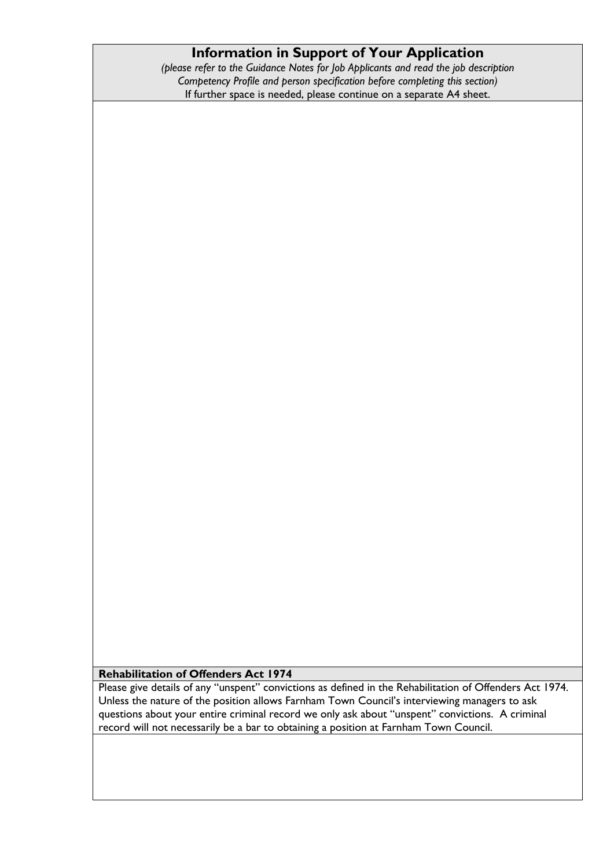### **Information in Support of Your Application**

*(please refer to the Guidance Notes for Job Applicants and read the job description Competency Profile and person specification before completing this section)* If further space is needed, please continue on a separate A4 sheet.

#### **Rehabilitation of Offenders Act 1974**

Please give details of any "unspent" convictions as defined in the Rehabilitation of Offenders Act 1974. Unless the nature of the position allows Farnham Town Council's interviewing managers to ask questions about your entire criminal record we only ask about "unspent" convictions. A criminal record will not necessarily be a bar to obtaining a position at Farnham Town Council.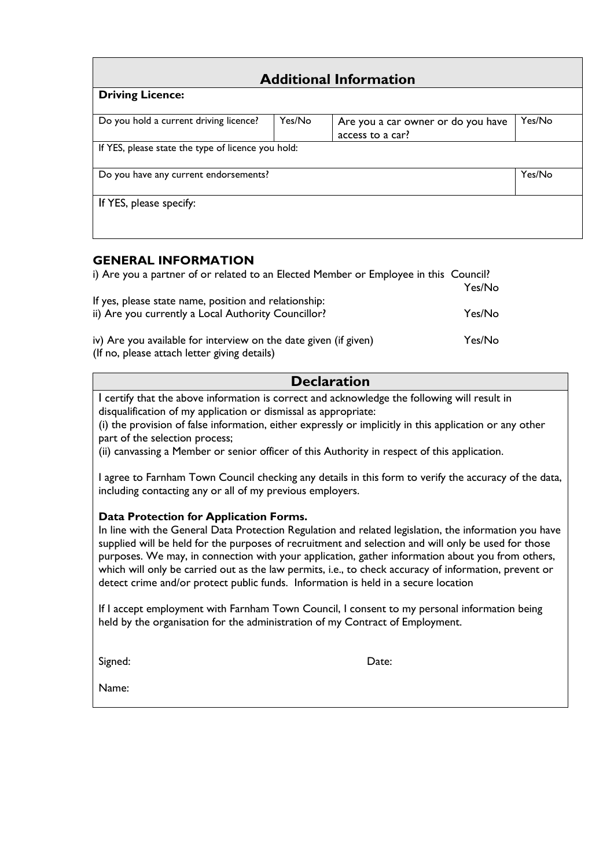| <b>Additional Information</b>                      |        |                                                        |        |  |  |  |
|----------------------------------------------------|--------|--------------------------------------------------------|--------|--|--|--|
| <b>Driving Licence:</b>                            |        |                                                        |        |  |  |  |
| Do you hold a current driving licence?             | Yes/No | Are you a car owner or do you have<br>access to a car? | Yes/No |  |  |  |
| If YES, please state the type of licence you hold: |        |                                                        |        |  |  |  |
| Do you have any current endorsements?              |        |                                                        |        |  |  |  |
| If YES, please specify:                            |        |                                                        |        |  |  |  |

### **GENERAL INFORMATION**

| i) Are you a partner of or related to an Elected Member or Employee in this Council?                             |        |  |
|------------------------------------------------------------------------------------------------------------------|--------|--|
|                                                                                                                  | Yes/No |  |
| If yes, please state name, position and relationship:                                                            |        |  |
| ii) Are you currently a Local Authority Councillor?                                                              | Yes/No |  |
| iv) Are you available for interview on the date given (if given)<br>(If no, please attach letter giving details) | Yes/No |  |

### **Declaration**

I certify that the above information is correct and acknowledge the following will result in disqualification of my application or dismissal as appropriate:

(i) the provision of false information, either expressly or implicitly in this application or any other part of the selection process;

(ii) canvassing a Member or senior officer of this Authority in respect of this application.

I agree to Farnham Town Council checking any details in this form to verify the accuracy of the data, including contacting any or all of my previous employers.

#### **Data Protection for Application Forms.**

In line with the General Data Protection Regulation and related legislation, the information you have supplied will be held for the purposes of recruitment and selection and will only be used for those purposes. We may, in connection with your application, gather information about you from others, which will only be carried out as the law permits, i.e., to check accuracy of information, prevent or detect crime and/or protect public funds. Information is held in a secure location

If I accept employment with Farnham Town Council, I consent to my personal information being held by the organisation for the administration of my Contract of Employment.

Signed: Date:

Name: